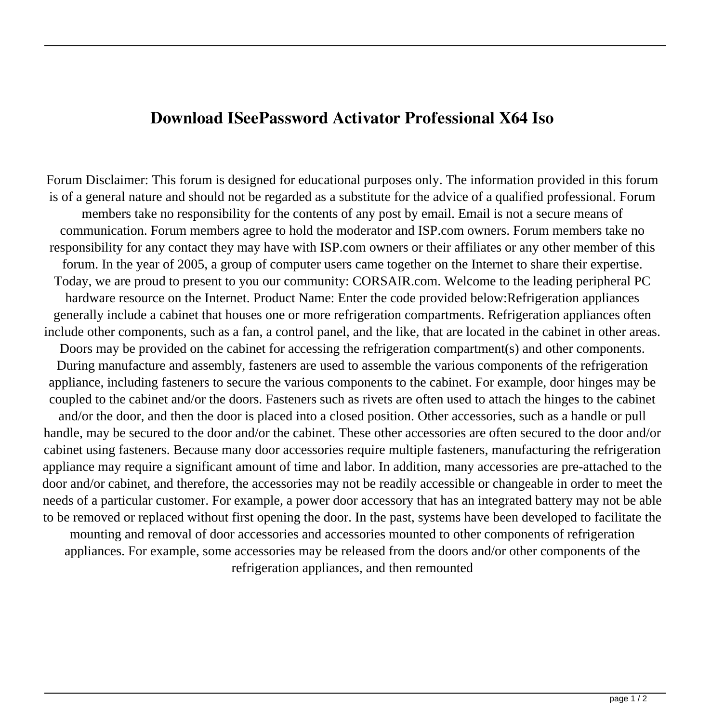## **Download ISeePassword Activator Professional X64 Iso**

Forum Disclaimer: This forum is designed for educational purposes only. The information provided in this forum is of a general nature and should not be regarded as a substitute for the advice of a qualified professional. Forum members take no responsibility for the contents of any post by email. Email is not a secure means of communication. Forum members agree to hold the moderator and ISP.com owners. Forum members take no responsibility for any contact they may have with ISP.com owners or their affiliates or any other member of this forum. In the year of 2005, a group of computer users came together on the Internet to share their expertise. Today, we are proud to present to you our community: CORSAIR.com. Welcome to the leading peripheral PC hardware resource on the Internet. Product Name: Enter the code provided below:Refrigeration appliances generally include a cabinet that houses one or more refrigeration compartments. Refrigeration appliances often include other components, such as a fan, a control panel, and the like, that are located in the cabinet in other areas. Doors may be provided on the cabinet for accessing the refrigeration compartment(s) and other components. During manufacture and assembly, fasteners are used to assemble the various components of the refrigeration appliance, including fasteners to secure the various components to the cabinet. For example, door hinges may be coupled to the cabinet and/or the doors. Fasteners such as rivets are often used to attach the hinges to the cabinet and/or the door, and then the door is placed into a closed position. Other accessories, such as a handle or pull handle, may be secured to the door and/or the cabinet. These other accessories are often secured to the door and/or cabinet using fasteners. Because many door accessories require multiple fasteners, manufacturing the refrigeration appliance may require a significant amount of time and labor. In addition, many accessories are pre-attached to the door and/or cabinet, and therefore, the accessories may not be readily accessible or changeable in order to meet the needs of a particular customer. For example, a power door accessory that has an integrated battery may not be able to be removed or replaced without first opening the door. In the past, systems have been developed to facilitate the mounting and removal of door accessories and accessories mounted to other components of refrigeration appliances. For example, some accessories may be released from the doors and/or other components of the refrigeration appliances, and then remounted